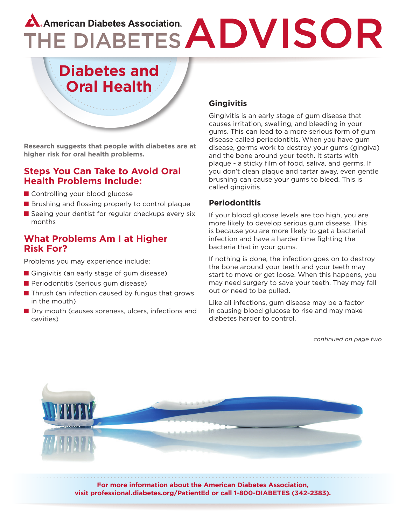# A. American Diabetes Association.<br>THE DIABETES ADVISOR

# **Diabetes and Oral Health**

**Research suggests that people with diabetes are at higher risk for oral health problems.** 

## **Steps You Can Take to Avoid Oral Health Problems Include:**

- Controlling your blood glucose
- Brushing and flossing properly to control plaque
- Seeing your dentist for regular checkups every six months

## **What Problems Am I at Higher Risk For?**

Problems you may experience include:

- Gingivitis (an early stage of gum disease)
- Periodontitis (serious gum disease)
- Thrush (an infection caused by fungus that grows in the mouth)
- Dry mouth (causes soreness, ulcers, infections and cavities)

## **Gingivitis**

Gingivitis is an early stage of gum disease that causes irritation, swelling, and bleeding in your gums. This can lead to a more serious form of gum disease called periodontitis. When you have gum disease, germs work to destroy your gums (gingiva) and the bone around your teeth. It starts with plaque - a sticky film of food, saliva, and germs. If you don't clean plaque and tartar away, even gentle brushing can cause your gums to bleed. This is called gingivitis.

### **Periodontitis**

If your blood glucose levels are too high, you are more likely to develop serious gum disease. This is because you are more likely to get a bacterial infection and have a harder time fighting the bacteria that in your gums.

If nothing is done, the infection goes on to destroy the bone around your teeth and your teeth may start to move or get loose. When this happens, you may need surgery to save your teeth. They may fall out or need to be pulled.

Like all infections, gum disease may be a factor in causing blood glucose to rise and may make diabetes harder to control.

*continued on page two*



**For more information about the American Diabetes Association, visit professional.diabetes.org/PatientEd or call 1-800-DIABETES (342-2383).**